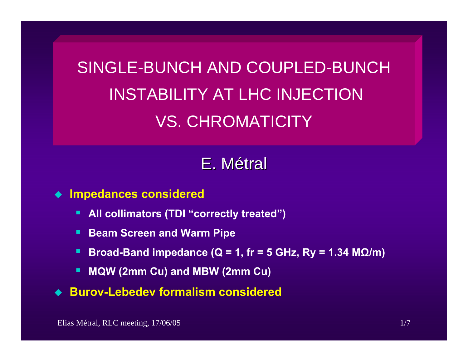SINGLE-BUNCH AND COUPLED-BUNCHINSTABILITY AT LHC INJECTION VS. CHROMATICITY

# E.Métral

#### **Impedances considered**

- ш **All collimators (TDI "correctly treated")**
- ш **Beam Screen and Warm Pipe**
- п **Broad-Band impedance (Q = 1, fr = 5 GHz, Ry = 1.34 M Ω/m)**
- п **MQW (2mm Cu) and MBW (2mm Cu)**
- ◆ Burov-Lebedev formalism considered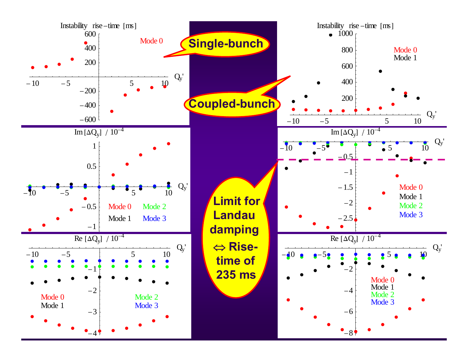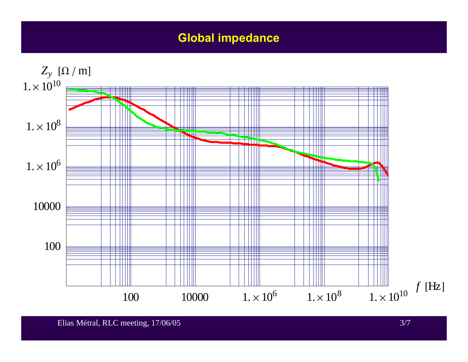### **Global impedance**

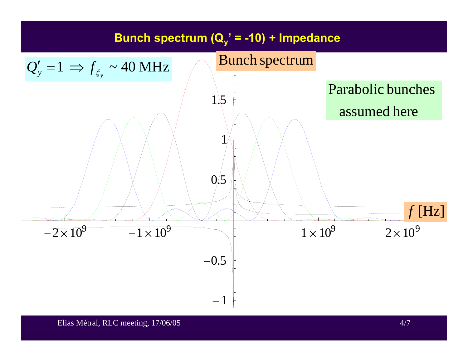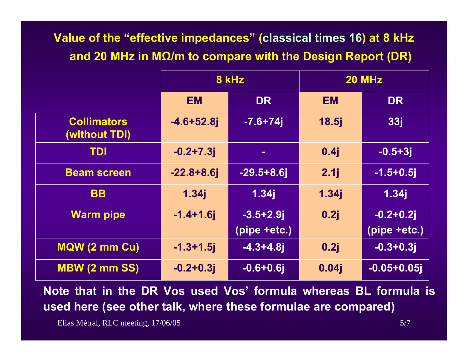### **Value of the "effective impedances" (classical times 16) at 8 kHz and 20 MHz in M Ω/m to compare with the Design Report (DR)**

|                                     | 8 kHz          |                 | <b>20 MHz</b> |                |
|-------------------------------------|----------------|-----------------|---------------|----------------|
|                                     | <b>EM</b>      | <b>DR</b>       | <b>EM</b>     | <b>DR</b>      |
| <b>Collimators</b><br>(without TDI) | $-4.6 + 52.8j$ | $-7.6 + 74$     | 18.5j         | <b>33j</b>     |
| <b>TDI</b>                          | $-0.2 + 7.3j$  | $\blacksquare$  | 0.4j          | $-0.5 + 3j$    |
| <b>Beam screen</b>                  | $-22.8+8.6j$   | $-29.5 + 8.6$ j | 2.1j          | $-1.5 + 0.5$ j |
| <b>BB</b>                           | 1.34j          | 1.34j           | 1.34j         | 1.34j          |
| <b>Warm pipe</b>                    | $-1.4 + 1.6$ j | $-3.5 + 2.9$ j  | 0.2j          | $-0.2 + 0.2i$  |
|                                     |                | (pipe +etc.)    |               | (pipe +etc.)   |
| MQW (2 mm Cu)                       | $-1.3 + 1.5$   | $-4.3 + 4.8$ j  | 0.2j          | $-0.3 + 0.3j$  |
| <b>MBW (2 mm SS)</b>                | $-0.2 + 0.3j$  | $-0.6 + 0.6$    | 0.04j         | $-0.05 + 0.05$ |

**Note that in the DR Vos used Vos' formula whereas BL formula is used here (see other talk, where these formulae are compared)**

Elias Métral, RLC meeting, 17/06/05 5/7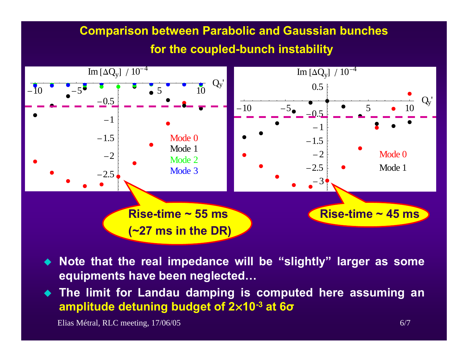## **Comparison between Parabolic and Gaussian bunches for the coupled-bunch instability**



- **Note that the real impedance will be "slightly" larger as some equipments have been neglected…**
- **The limit for Landau damping is computed here assuming an amplitude detuning budget of 2 ¥10-3 at 6 σ**

Elias Métral, RLC meeting, 17/06/05